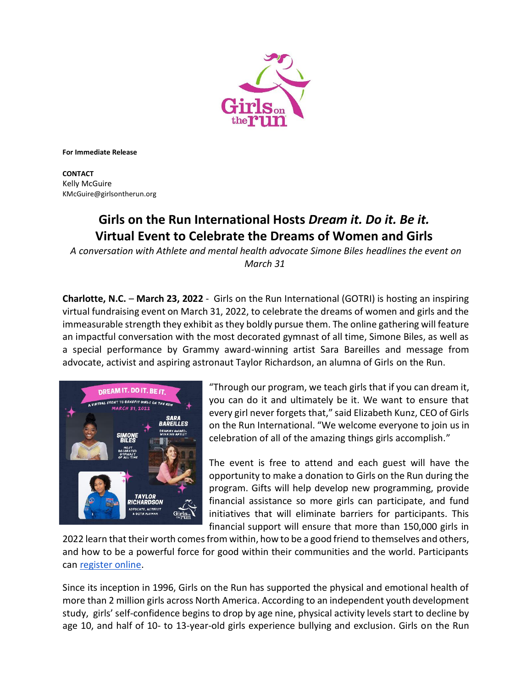

**For Immediate Release**

**CONTACT** Kelly McGuire [KMcGuire@girlsontherun.org](mailto:KMcGuire@girlsontherun.org)

## **Girls on the Run International Hosts** *Dream it. Do it. Be it.* **Virtual Event to Celebrate the Dreams of Women and Girls**

*A conversation with Athlete and mental health advocate Simone Biles headlines the event on March 31*

**Charlotte, N.C.** – **March 23, 2022** - Girls on the Run International (GOTRI) is hosting an inspiring virtual fundraising event on March 31, 2022, to celebrate the dreams of women and girls and the immeasurable strength they exhibit as they boldly pursue them. The online gathering will feature an impactful conversation with the most decorated gymnast of all time, Simone Biles, as well as a special performance by Grammy award-winning artist Sara Bareilles and message from advocate, activist and aspiring astronaut Taylor Richardson, an alumna of Girls on the Run.



"Through our program, we teach girls that if you can dream it, you can do it and ultimately be it. We want to ensure that every girl never forgets that," said Elizabeth Kunz, CEO of Girls on the Run International. "We welcome everyone to join us in celebration of all of the amazing things girls accomplish."

The event is free to attend and each guest will have the opportunity to make a donation to Girls on the Run during the program. Gifts will help develop new programming, provide financial assistance so more girls can participate, and fund initiatives that will eliminate barriers for participants. This financial support will ensure that more than 150,000 girls in

2022 learn that their worth comes from within, how to be a good friend to themselves and others, and how to be a powerful force for good within their communities and the world. Participants can [register online.](https://support.girlsontherun.org/event/dream-it-do-it-be-it-a-virtual-event-to-benefit-girls-on-the-run/e379690?utm_source=newsletter&utm_medium=email&utm_content=REGISTER%20NOW&utm_campaign=DDB%20%E2%80%93%20Promo%20Email%202)

Since its inception in 1996, Girls on the Run has supported the physical and emotional health of more than 2 million girls across North America. According to an independent youth development study, girls' self-confidence begins to drop by age nine, physical activity levels start to decline by age 10, and half of 10- to 13-year-old girls experience bullying and exclusion. Girls on the Run